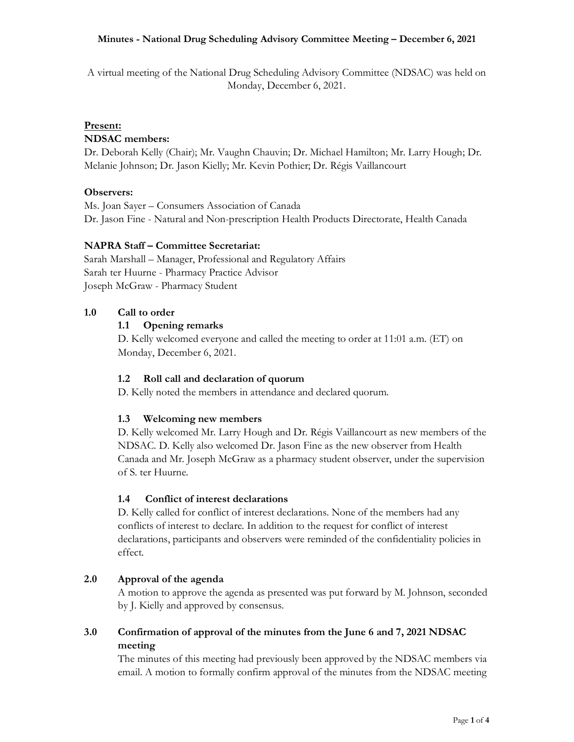A virtual meeting of the National Drug Scheduling Advisory Committee (NDSAC) was held on Monday, December 6, 2021.

## **Present:**

## **NDSAC members:**

Dr. Deborah Kelly (Chair); Mr. Vaughn Chauvin; Dr. Michael Hamilton; Mr. Larry Hough; Dr. Melanie Johnson; Dr. Jason Kielly; Mr. Kevin Pothier; Dr. Régis Vaillancourt

## **Observers:**

Ms. Joan Sayer – Consumers Association of Canada Dr. Jason Fine - Natural and Non-prescription Health Products Directorate, Health Canada

## **NAPRA Staff – Committee Secretariat:**

Sarah Marshall – Manager, Professional and Regulatory Affairs Sarah ter Huurne - Pharmacy Practice Advisor Joseph McGraw - Pharmacy Student

## **1.0 Call to order**

## **1.1 Opening remarks**

D. Kelly welcomed everyone and called the meeting to order at 11:01 a.m. (ET) on Monday, December 6, 2021.

## **1.2 Roll call and declaration of quorum**

D. Kelly noted the members in attendance and declared quorum.

#### **1.3 Welcoming new members**

D. Kelly welcomed Mr. Larry Hough and Dr. Régis Vaillancourt as new members of the NDSAC. D. Kelly also welcomed Dr. Jason Fine as the new observer from Health Canada and Mr. Joseph McGraw as a pharmacy student observer, under the supervision of S. ter Huurne.

#### **1.4 Conflict of interest declarations**

D. Kelly called for conflict of interest declarations. None of the members had any conflicts of interest to declare. In addition to the request for conflict of interest declarations, participants and observers were reminded of the confidentiality policies in effect.

## **2.0 Approval of the agenda**

A motion to approve the agenda as presented was put forward by M. Johnson, seconded by J. Kielly and approved by consensus.

## **3.0 Confirmation of approval of the minutes from the June 6 and 7, 2021 NDSAC meeting**

The minutes of this meeting had previously been approved by the NDSAC members via email. A motion to formally confirm approval of the minutes from the NDSAC meeting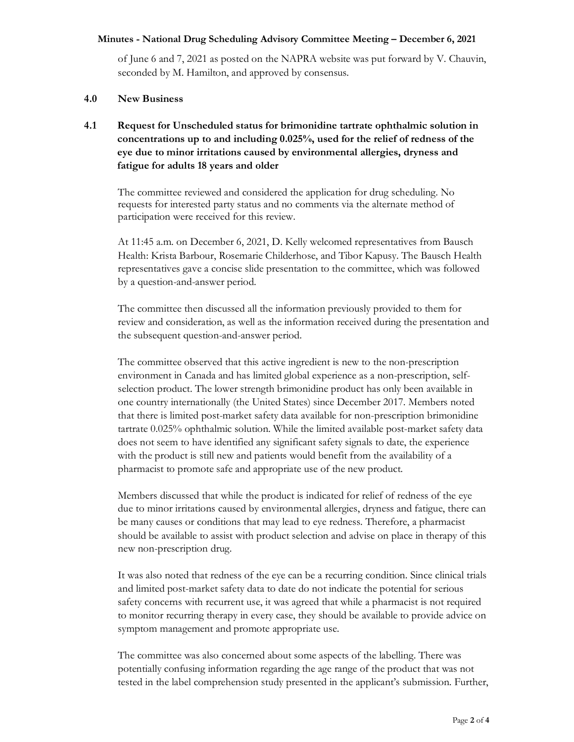of June 6 and 7, 2021 as posted on the NAPRA website was put forward by V. Chauvin, seconded by M. Hamilton, and approved by consensus.

#### **4.0 New Business**

# **4.1 Request for Unscheduled status for brimonidine tartrate ophthalmic solution in concentrations up to and including 0.025%, used for the relief of redness of the eye due to minor irritations caused by environmental allergies, dryness and fatigue for adults 18 years and older**

The committee reviewed and considered the application for drug scheduling. No requests for interested party status and no comments via the alternate method of participation were received for this review.

At 11:45 a.m. on December 6, 2021, D. Kelly welcomed representatives from Bausch Health: Krista Barbour, Rosemarie Childerhose, and Tibor Kapusy. The Bausch Health representatives gave a concise slide presentation to the committee, which was followed by a question-and-answer period.

The committee then discussed all the information previously provided to them for review and consideration, as well as the information received during the presentation and the subsequent question-and-answer period.

The committee observed that this active ingredient is new to the non-prescription environment in Canada and has limited global experience as a non-prescription, selfselection product. The lower strength brimonidine product has only been available in one country internationally (the United States) since December 2017. Members noted that there is limited post-market safety data available for non-prescription brimonidine tartrate 0.025% ophthalmic solution. While the limited available post-market safety data does not seem to have identified any significant safety signals to date, the experience with the product is still new and patients would benefit from the availability of a pharmacist to promote safe and appropriate use of the new product.

Members discussed that while the product is indicated for relief of redness of the eye due to minor irritations caused by environmental allergies, dryness and fatigue, there can be many causes or conditions that may lead to eye redness. Therefore, a pharmacist should be available to assist with product selection and advise on place in therapy of this new non-prescription drug.

It was also noted that redness of the eye can be a recurring condition. Since clinical trials and limited post-market safety data to date do not indicate the potential for serious safety concerns with recurrent use, it was agreed that while a pharmacist is not required to monitor recurring therapy in every case, they should be available to provide advice on symptom management and promote appropriate use.

The committee was also concerned about some aspects of the labelling. There was potentially confusing information regarding the age range of the product that was not tested in the label comprehension study presented in the applicant's submission. Further,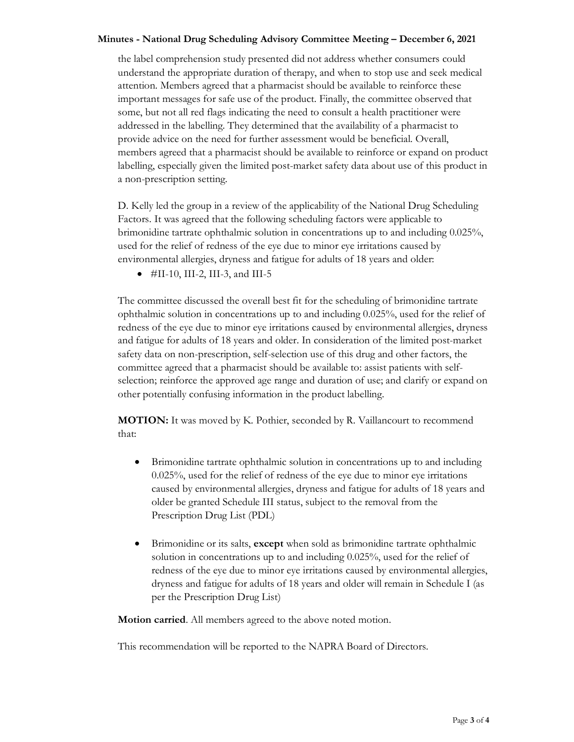the label comprehension study presented did not address whether consumers could understand the appropriate duration of therapy, and when to stop use and seek medical attention. Members agreed that a pharmacist should be available to reinforce these important messages for safe use of the product. Finally, the committee observed that some, but not all red flags indicating the need to consult a health practitioner were addressed in the labelling. They determined that the availability of a pharmacist to provide advice on the need for further assessment would be beneficial. Overall, members agreed that a pharmacist should be available to reinforce or expand on product labelling, especially given the limited post-market safety data about use of this product in a non-prescription setting.

D. Kelly led the group in a review of the applicability of the National Drug Scheduling Factors. It was agreed that the following scheduling factors were applicable to brimonidine tartrate ophthalmic solution in concentrations up to and including 0.025%, used for the relief of redness of the eye due to minor eye irritations caused by environmental allergies, dryness and fatigue for adults of 18 years and older:

 $\bullet$  #II-10, III-2, III-3, and III-5

The committee discussed the overall best fit for the scheduling of brimonidine tartrate ophthalmic solution in concentrations up to and including 0.025%, used for the relief of redness of the eye due to minor eye irritations caused by environmental allergies, dryness and fatigue for adults of 18 years and older. In consideration of the limited post-market safety data on non-prescription, self-selection use of this drug and other factors, the committee agreed that a pharmacist should be available to: assist patients with selfselection; reinforce the approved age range and duration of use; and clarify or expand on other potentially confusing information in the product labelling.

**MOTION:** It was moved by K. Pothier, seconded by R. Vaillancourt to recommend that:

- Brimonidine tartrate ophthalmic solution in concentrations up to and including 0.025%, used for the relief of redness of the eye due to minor eye irritations caused by environmental allergies, dryness and fatigue for adults of 18 years and older be granted Schedule III status, subject to the removal from the Prescription Drug List (PDL)
- Brimonidine or its salts, **except** when sold as brimonidine tartrate ophthalmic solution in concentrations up to and including 0.025%, used for the relief of redness of the eye due to minor eye irritations caused by environmental allergies, dryness and fatigue for adults of 18 years and older will remain in Schedule I (as per the Prescription Drug List)

**Motion carried**. All members agreed to the above noted motion.

This recommendation will be reported to the NAPRA Board of Directors.